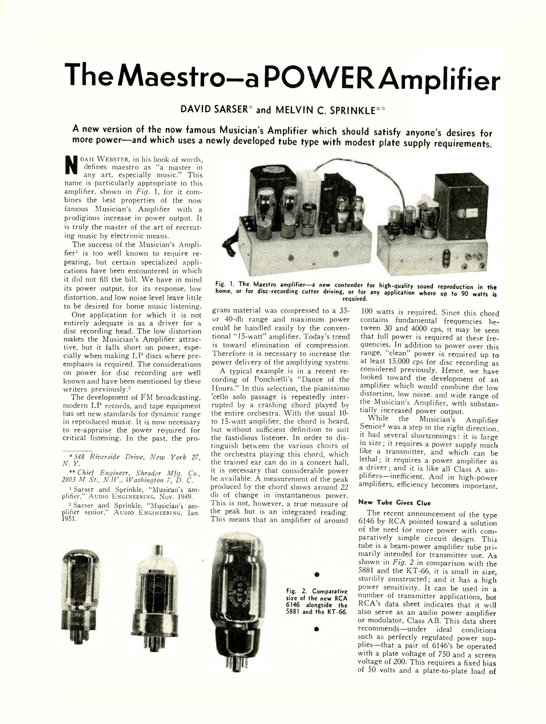# **TheMaestro-a POW ER Amplifier**

## **DAVID SARSER\* and MELVIN C. SPRINKLE\*\***

**A new version of the now famous Musician's Amplifier which should satisfy anyone's desires for more power— and which uses a newly developed tube type with modest plate supply requirements.**

N OAH WEBSTER, in his book of words,<br>defines maestro as "a master in<br>any art, especially music." This<br>name is particularly appropriate to this OAH WEBSTER, in his book of words, defines maestro as "a master in any art, especially music." This amplifier, shown in *Fig.* 1, for it combines the best properties of the now famous Musician's Amplifier with a prodigious increase in power output. It is truly the master of the art of recreating music by electronic means.

The success of the Musician's Amplifier<sup>1</sup> is too well known to require repeating, hut certain specialized applications have been encountered in which it did not fill the bill. We have in mind its power output, for its response, low distortion, and low noise level leave little to be desired for home music listening.

One application for which it is not entirely adequate is as a driver for a disc recording head. The low distortion makes the Musician's Amplifier attractive, but it falls short on power, especially when making LP discs where preemphasis is required. The considerations on power for disc recording are well known and have been mentioned by these writers previously.2

The development of FM broadcasting, modern LP records, and tape equipment has set new standards for dynamic range in reproduced music. It is now necessary to re-appraise the power required for critical listening. In the past, the pro-

\* *548 Riverside Drive, New York 27, N. Y.*

\*\* *Chief Engineer, Shrader Mfg. Co., 2803 M St., N.W., Washington 7, D. C.* 1 Sarser and Sprinkle, "Musican's am-

plifier," AUDIO ENGINEERING, NOV. 1949.

2 Sarser and Sprinkle, "Musician's am-plifier senior," A udio E ngineering, Jan. 1951.



Fig. 1. The Maestro amplifier-a new contender for high-quality sound reproduction in the **home, or for disc-recording cutter driving, or for any application where up to 90 watts is required.**

gram material was compressed to a 35 or 40-db range and maximum power could he handled easily by the conventional " 15-watt" amplifier. Today's trend is toward elimination of compression. Therefore it is necessary to increase the power delivery of the amplifying system.

A typical example is in a recent recording of Ponchielli's "Dance of the Hours." In this selection, the pianissimo 'cello solo passage is repeatedly interrupted by a crashing chord played by the entire orchestra. With the usual 10 to 15-watt amplifier, the chord is heard, hut without sufficient definition to suit the fastidious listener. In order to distinguish between the various choirs of the orchestra playing this chord, which the trained ear can do in a concert hall, it is necessary that considerable power he available. A measurement of the peak produced by the chord shows around 22 db of change in instantaneous power. This is not, however, a true measure of the peak but is an integrated reading. This means that an amplifier of around

100 watts is required. Since this chord contains fundamental frequencies between 30 and 4000 cps, it may be seen that full power is required at these frequencies. In addition to power over this range, "clean" power is required up to at least 15,000 cps for disc recording as considered previously. Hence, we have looked toward the development of an amplifier which would combine the low distortion, low noise, and wide range of the Musician's Amplifier, with substantially increased power output.

While the Musician's Amplifier Senior<sup>2</sup> was a step in the right direction, it had several shortcomings: it is large in size; it requires a power supply much like a transmitter, and which can be lethal; it requires a power amplifier as a driver; and it is like all Class A amplifiers—inefficient. And in high-power amplifiers, efficiency becomes important.

### **N ew Tube Gives Clue**

The recent announcement of the type 6146 by RCA pointed toward a solution of the need for more power with comparatively simple circuit design. This tube is a beam-power amplifier tube primarily intended for transmitter use. As shown in *Fig.* 2 in comparison with the 5881 and the KT-66, it is small in size, sturdily constructed; and it has a high power sensitivity. It can be used in a number of transmitter applications, but RCA's data sheet indicates that it will also serve as an audio power amplifier or modulator, Class AB. This data sheet recommends—under ideal conditions such as perfectly regulated power supplies—that a pair of 6146's be operated with a plate voltage of 750 and a screen voltage of 200. This requires a fixed bias of 50 volts and a plate-to-plate load of



**Fig. 2. Comparative size of the new RCA 6146 alongside the 5881 and the KT-66.**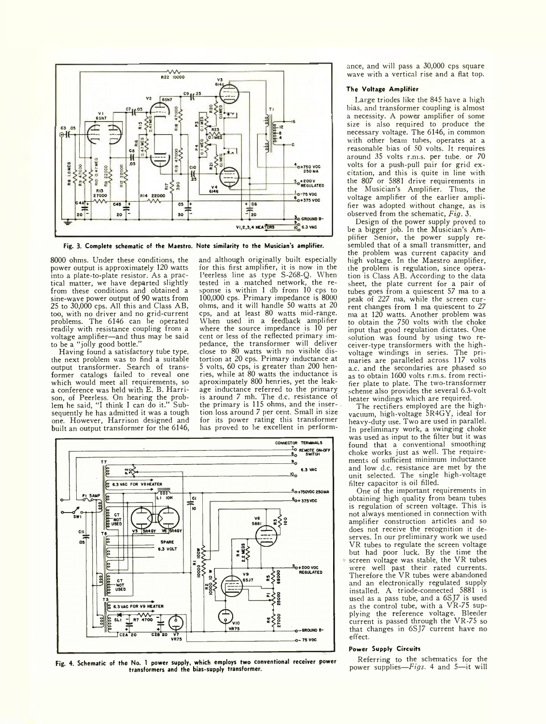![](_page_1_Figure_0.jpeg)

**Fig. 3. Complete schematic of the Maestro. Note similarity to the Musician's amplifier.**

8000 ohms. Under these conditions, the power output is approximately 120 watts into a plate-to-plate resistor. As a practical matter, we have departed slightly from these conditions and obtained a sine-wave power output of 90 watts from 25 to 30,000 cps. All this and Class AB, too, with no driver and no grid-current problems. The 6146 can be operated readily with resistance coupling from a voltage amplifier—and thus may be said to be a "jolly good bottle."

Having found a satisfactory tube type, the next problem was to find a suitable output transformer. Search of transformer catalogs failed to reveal one which would meet all requirements, so a conference was held with E. B. Harrison, of Peerless. On hearing the problem he said, "I think I can do it." Subsequently he has admitted it was a tough one. However, Harrison designed and built an output transformer for the 6146, and although originally built especially for this first amplifier, it is now in the Peerless line as type S-268-Q. When tested in a matched network, the response is within 1 db from 10 cps to 100,000 cps. Primary impedance is 8000 ohms, and it will handle 50 watts at 20 cps, and at least 80 watts mid-range. When used in a feedback amplifier where the source impedance is 10 per cent or less of the reflected primary impedance, the transformer will deliver close to 80 watts with no visible distortion at 20 cps. Primary inductance at 5 volts, 60 cps, is greater than 200 henries, while at 80 watts the inductance is aproximpately 800 henries, yet the leakage inductance referred to the primary is around 7 mh. The d.c. resistance of the primary is 115 ohms, and the inser- $\overline{\cdot}$ tion loss around 7 per cent. Small in size for its power rating this transformer has proved to be excellent in perform-

![](_page_1_Figure_5.jpeg)

**Fig. 4. Schematic of the No. 1 power supply, which employs two conventional receiver power transformers and the bias-supply transformer.**

ance, and will pass a 30,000 cps square wave with a vertical rise and a flat top.

## **The Voltage A m plifier**

Large triodes like the 845 have a high bias, and transformer coupling is almost a necessity. A power amplifier of some size is also required to produce the necessary voltage. The 6146, in common with other beam tubes, operates at a reasonable bias of 50 volts. It requires around 35 volts r.m.s. per tube, or 70 volts for a push-pull pair for grid excitation, and this is quite in line with the 807 or 5881 drive requirements in the Musician's Amplifier. Thus, the voltage amplifier of the earlier amplifier was adopted without change, as is observed from the schematic, *Fig.* 3.

Design of the power supply proved to be a bigger job. In the Musician's Amplifier Senior, the power supply resembled that of a small transmitter, and the problem was current capacity and high voltage. In the Maestro amplifier, the problem is regulation, since operation is Class AB. According to the data sheet, the plate current for a pair of tubes goes from a quiescent 57 ma to a peak of 227 ma, while the screen current changes from 1 ma quiescent to 27 ma at 120 watts. Another problem was to obtain the 750 volts with the choke input that good regulation dictates. One solution was found by using two receiver-type transformers with the highvoltage windings in series. The primaries are paralleled across 117 volts a.c. and the secondaries are phased so as to obtain 1600 volts r.m.s. from rectifier plate to plate. The two-transformer scheme also provides the several 6.3-volt heater windings which are required.

The rectifiers employed are the highvacuum, high-voltage 5R4GY, ideal for heavy-duty use. Two are used in parallel. In preliminary work, a swinging choke was used as input to the filter but it was found that a conventional smoothing choke works just as well. The requirements of sufficient minimum inductance and low d.c. resistance are met by the unit selected. The single high-voltage filter capacitor is oil filled.

One of the important requirements in obtaining high quality from beam tubes is regulation of screen voltage. This is not always mentioned in connection with amplifier construction articles and so does not receive the recognition it deserves. In our preliminary work we used VR tubes to regulate the screen voltage but had poor luck. By the time the screen voltage was stable, the VR tubes were well past their rated currents. Therefore the VR tubes were abandoned and an electronically regulated supply installed. A triode-connected 5881 is used as a pass tube, and a 6SJ7 is used as the control tube, with a VR-75 supplying the reference voltage. Bleeder current is passed through the VR-75 so that changes in 6SJ7 current have no effect.

#### **Power Supply Circuits**

Referring to the schematics for the power supplies—*Figs.* 4 and 5—it will